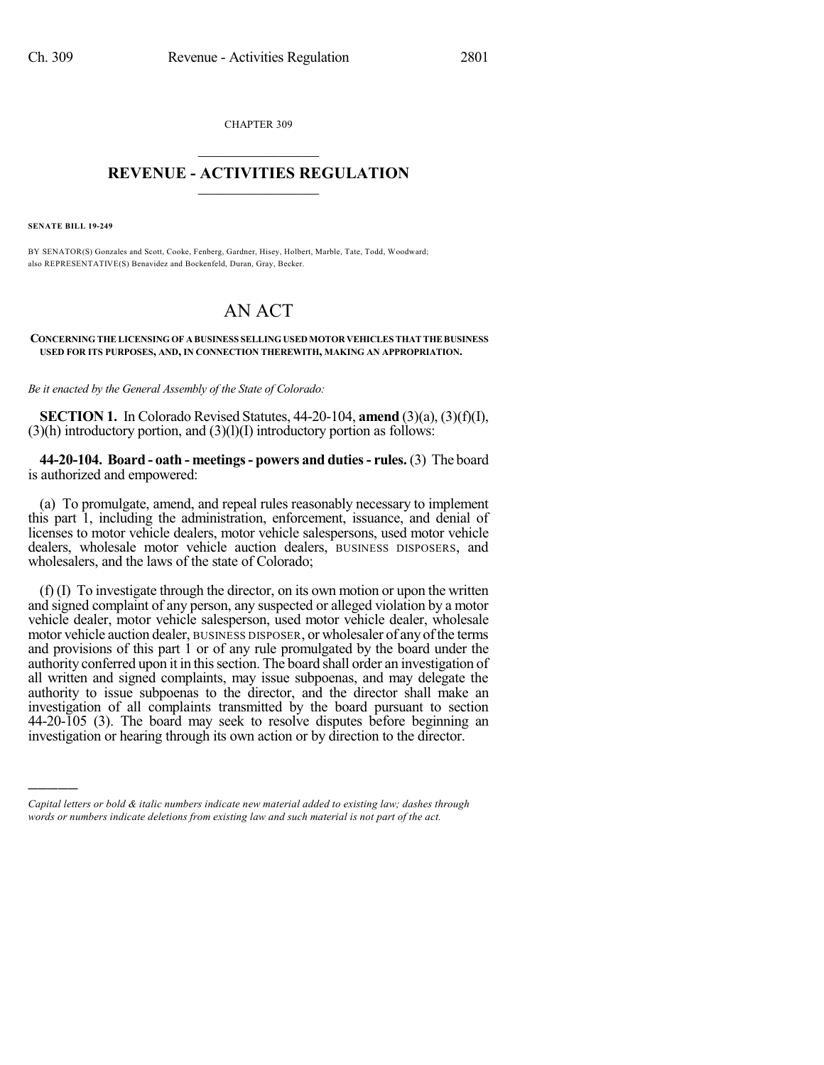CHAPTER 309  $\overline{\phantom{a}}$  . The set of the set of the set of the set of the set of the set of the set of the set of the set of the set of the set of the set of the set of the set of the set of the set of the set of the set of the set o

## **REVENUE - ACTIVITIES REGULATION**  $\_$   $\_$   $\_$   $\_$   $\_$   $\_$   $\_$   $\_$

**SENATE BILL 19-249**

)))))

BY SENATOR(S) Gonzales and Scott, Cooke, Fenberg, Gardner, Hisey, Holbert, Marble, Tate, Todd, Woodward; also REPRESENTATIVE(S) Benavidez and Bockenfeld, Duran, Gray, Becker.

## AN ACT

**CONCERNING THE LICENSING OF A BUSINESS SELLINGUSEDMOTOR VEHICLES THATTHEBUSINESS USED FOR ITS PURPOSES, AND, IN CONNECTION THEREWITH, MAKING AN APPROPRIATION.**

*Be it enacted by the General Assembly of the State of Colorado:*

**SECTION 1.** In Colorado Revised Statutes, 44-20-104, **amend** (3)(a), (3)(f)(I),  $(3)$ (h) introductory portion, and  $(3)$ (l)(I) introductory portion as follows:

**44-20-104. Board - oath - meetings- powers and duties- rules.** (3) The board is authorized and empowered:

(a) To promulgate, amend, and repeal rules reasonably necessary to implement this part 1, including the administration, enforcement, issuance, and denial of licenses to motor vehicle dealers, motor vehicle salespersons, used motor vehicle dealers, wholesale motor vehicle auction dealers, BUSINESS DISPOSERS, and wholesalers, and the laws of the state of Colorado;

(f) (I) To investigate through the director, on its own motion or upon the written and signed complaint of any person, any suspected or alleged violation by a motor vehicle dealer, motor vehicle salesperson, used motor vehicle dealer, wholesale motor vehicle auction dealer, BUSINESS DISPOSER, or wholesaler of any of the terms and provisions of this part 1 or of any rule promulgated by the board under the authority conferred upon it in this section. The board shall order an investigation of all written and signed complaints, may issue subpoenas, and may delegate the authority to issue subpoenas to the director, and the director shall make an investigation of all complaints transmitted by the board pursuant to section 44-20-105 (3). The board may seek to resolve disputes before beginning an investigation or hearing through its own action or by direction to the director.

*Capital letters or bold & italic numbers indicate new material added to existing law; dashes through words or numbers indicate deletions from existing law and such material is not part of the act.*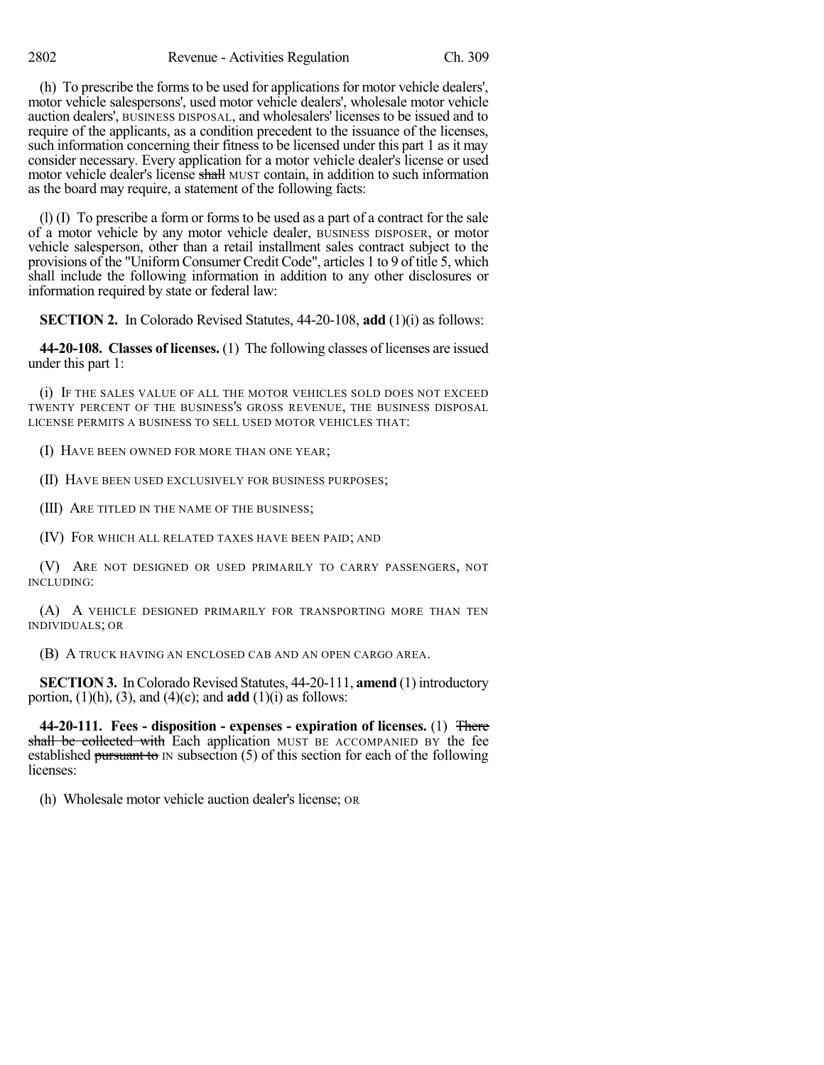(h) To prescribe the forms to be used for applications for motor vehicle dealers', motor vehicle salespersons', used motor vehicle dealers', wholesale motor vehicle auction dealers', BUSINESS DISPOSAL, and wholesalers' licenses to be issued and to require of the applicants, as a condition precedent to the issuance of the licenses, such information concerning their fitness to be licensed under this part 1 as it may consider necessary. Every application for a motor vehicle dealer's license or used motor vehicle dealer's license shall MUST contain, in addition to such information as the board may require, a statement of the following facts:

(l) (I) To prescribe a form or forms to be used as a part of a contract for the sale of a motor vehicle by any motor vehicle dealer, BUSINESS DISPOSER, or motor vehicle salesperson, other than a retail installment sales contract subject to the provisions of the "Uniform Consumer Credit Code", articles 1 to 9 of title 5, which shall include the following information in addition to any other disclosures or information required by state or federal law:

**SECTION 2.** In Colorado Revised Statutes, 44-20-108, **add** (1)(i) as follows:

**44-20-108. Classes of licenses.** (1) The following classes of licenses are issued under this part 1:

(i) IF THE SALES VALUE OF ALL THE MOTOR VEHICLES SOLD DOES NOT EXCEED TWENTY PERCENT OF THE BUSINESS'S GROSS REVENUE, THE BUSINESS DISPOSAL LICENSE PERMITS A BUSINESS TO SELL USED MOTOR VEHICLES THAT:

(I) HAVE BEEN OWNED FOR MORE THAN ONE YEAR;

(II) HAVE BEEN USED EXCLUSIVELY FOR BUSINESS PURPOSES;

(III) ARE TITLED IN THE NAME OF THE BUSINESS;

(IV) FOR WHICH ALL RELATED TAXES HAVE BEEN PAID; AND

(V) ARE NOT DESIGNED OR USED PRIMARILY TO CARRY PASSENGERS, NOT INCLUDING:

(A) A VEHICLE DESIGNED PRIMARILY FOR TRANSPORTING MORE THAN TEN INDIVIDUALS; OR

(B) A TRUCK HAVING AN ENCLOSED CAB AND AN OPEN CARGO AREA.

**SECTION 3.** In Colorado Revised Statutes, 44-20-111, **amend** (1) introductory portion,  $(1)(h)$ ,  $(3)$ , and  $(4)(c)$ ; and **add**  $(1)(i)$  as follows:

**44-20-111. Fees - disposition - expenses - expiration of licenses.** (1) There shall be collected with Each application MUST BE ACCOMPANIED BY the fee established pursuant to IN subsection (5) of this section for each of the following licenses:

(h) Wholesale motor vehicle auction dealer's license; OR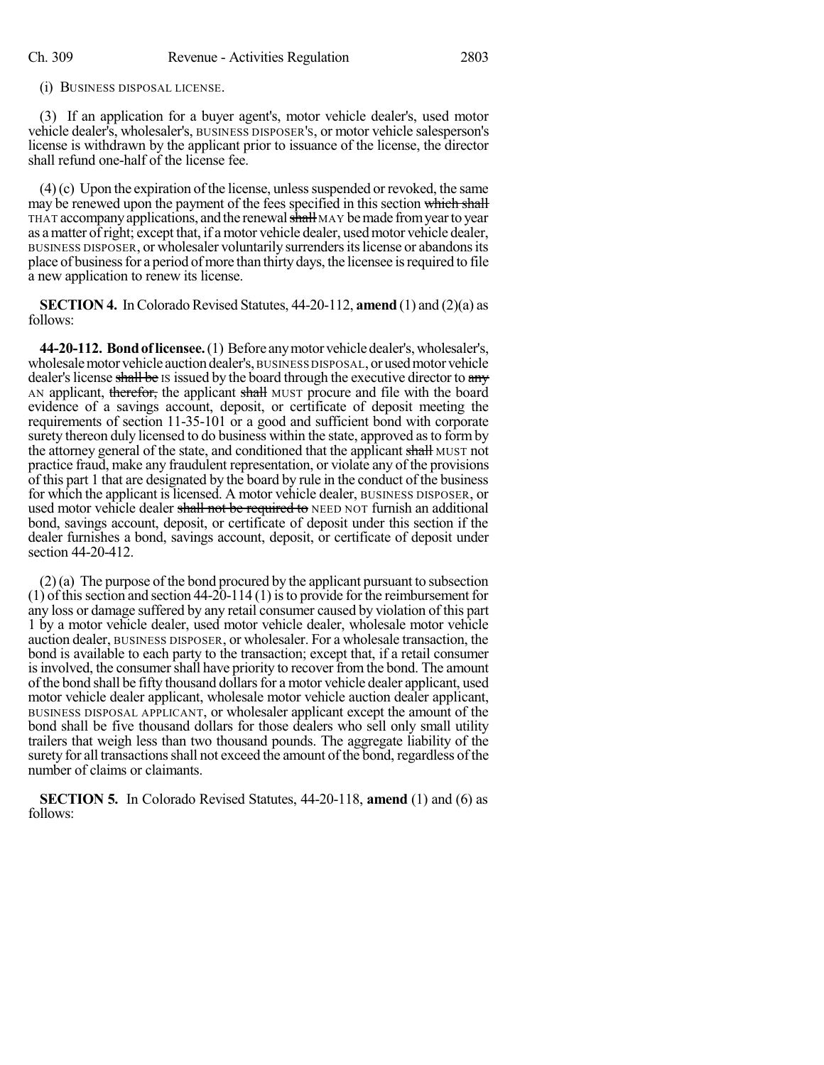(i) BUSINESS DISPOSAL LICENSE.

(3) If an application for a buyer agent's, motor vehicle dealer's, used motor vehicle dealer's, wholesaler's, BUSINESS DISPOSER'S, or motor vehicle salesperson's license is withdrawn by the applicant prior to issuance of the license, the director shall refund one-half of the license fee.

 $(4)(c)$  Upon the expiration of the license, unless suspended or revoked, the same may be renewed upon the payment of the fees specified in this section which shall THAT accompany applications, and the renewal shall MAY be made from year to year as amatter ofright; except that, if a motor vehicle dealer, usedmotor vehicle dealer, BUSINESS DISPOSER, or wholesaler voluntarily surrendersitslicense or abandonsits place of business for a period of more than thirty days, the licensee is required to file a new application to renew its license.

**SECTION 4.** In Colorado Revised Statutes,  $44-20-112$ , **amend** (1) and (2)(a) as follows:

**44-20-112. Bondoflicensee.**(1) Before anymotorvehicledealer's,wholesaler's, wholesalemotor vehicle auctiondealer's, BUSINESS DISPOSAL, or usedmotorvehicle dealer's license shall be IS issued by the board through the executive director to any AN applicant, therefor, the applicant shall MUST procure and file with the board evidence of a savings account, deposit, or certificate of deposit meeting the requirements of section 11-35-101 or a good and sufficient bond with corporate surety thereon duly licensed to do business within the state, approved as to form by the attorney general of the state, and conditioned that the applicant shall MUST not practice fraud, make any fraudulent representation, or violate any of the provisions of this part 1 that are designated by the board by rule in the conduct of the business for which the applicant islicensed. A motor vehicle dealer, BUSINESS DISPOSER, or used motor vehicle dealer shall not be required to NEED NOT furnish an additional bond, savings account, deposit, or certificate of deposit under this section if the dealer furnishes a bond, savings account, deposit, or certificate of deposit under section 44-20-412.

(2)(a) The purpose of the bond procured by the applicant pursuant to subsection  $(1)$  of this section and section 44-20-114  $(1)$  is to provide for the reimbursement for any loss or damage suffered by any retail consumer caused by violation of this part 1 by a motor vehicle dealer, used motor vehicle dealer, wholesale motor vehicle auction dealer, BUSINESS DISPOSER, or wholesaler. For a wholesale transaction, the bond is available to each party to the transaction; except that, if a retail consumer is involved, the consumer shall have priority to recover from the bond. The amount ofthe bond shall be fifty thousand dollarsfor a motor vehicle dealer applicant, used motor vehicle dealer applicant, wholesale motor vehicle auction dealer applicant, BUSINESS DISPOSAL APPLICANT, or wholesaler applicant except the amount of the bond shall be five thousand dollars for those dealers who sell only small utility trailers that weigh less than two thousand pounds. The aggregate liability of the surety for all transactions shall not exceed the amount of the bond, regardless of the number of claims or claimants.

**SECTION 5.** In Colorado Revised Statutes, 44-20-118, **amend** (1) and (6) as follows: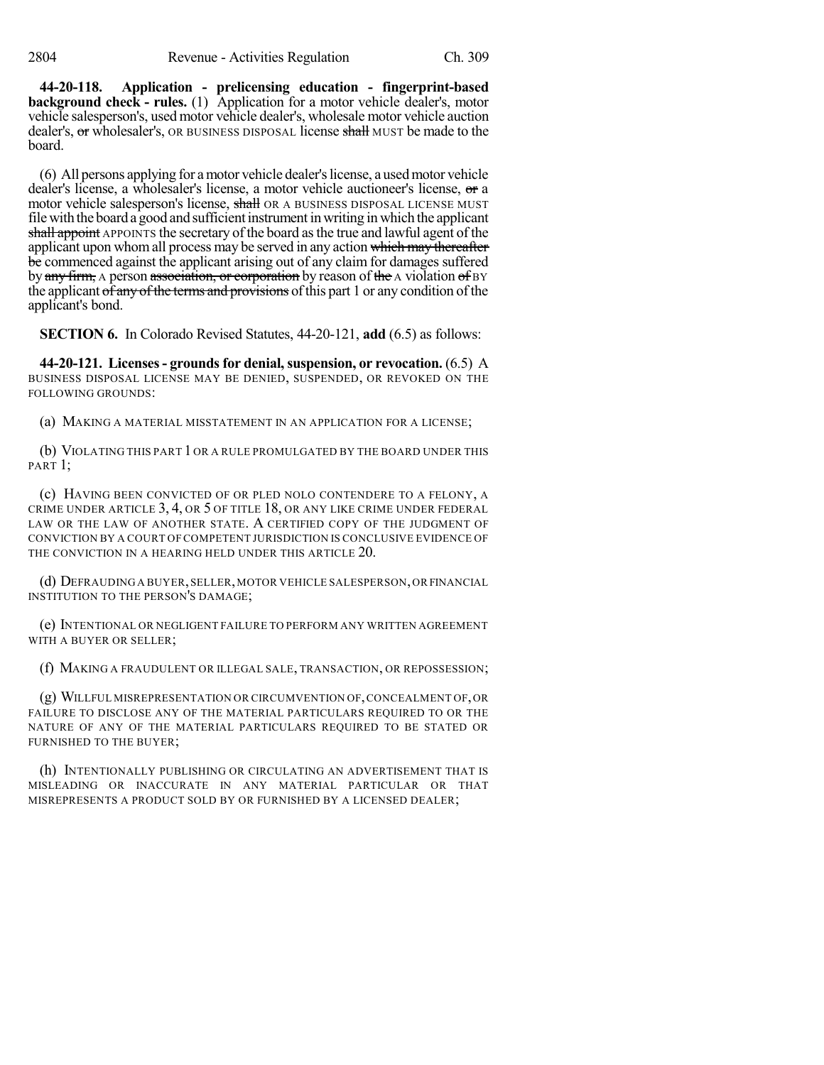**44-20-118. Application - prelicensing education - fingerprint-based background check - rules.** (1) Application for a motor vehicle dealer's, motor vehicle salesperson's, used motor vehicle dealer's, wholesale motor vehicle auction dealer's, or wholesaler's, OR BUSINESS DISPOSAL license shall MUST be made to the board.

(6) All persons applying for amotor vehicle dealer'slicense, a usedmotor vehicle dealer's license, a wholesaler's license, a motor vehicle auctioneer's license, or a motor vehicle salesperson's license, shall OR A BUSINESS DISPOSAL LICENSE MUST file with the board a good and sufficient instrument in writing in which the applicant shall appoint APPOINTS the secretary of the board as the true and lawful agent of the applicant upon whom all process may be served in any action which may thereafter be commenced against the applicant arising out of any claim for damages suffered by any firm, A person association, or corporation by reason of the A violation of BY the applicant  $\sigma f$  any  $\sigma f$  the terms and provisions of this part 1 or any condition of the applicant's bond.

**SECTION 6.** In Colorado Revised Statutes, 44-20-121, **add** (6.5) as follows:

**44-20-121. Licenses- groundsfor denial,suspension, or revocation.** (6.5) A BUSINESS DISPOSAL LICENSE MAY BE DENIED, SUSPENDED, OR REVOKED ON THE FOLLOWING GROUNDS:

(a) MAKING A MATERIAL MISSTATEMENT IN AN APPLICATION FOR A LICENSE;

(b) VIOLATING THIS PART 1 OR A RULE PROMULGATED BY THE BOARD UNDER THIS PART 1:

(c) HAVING BEEN CONVICTED OF OR PLED NOLO CONTENDERE TO A FELONY, A CRIME UNDER ARTICLE 3, 4, OR 5 OF TITLE 18, OR ANY LIKE CRIME UNDER FEDERAL LAW OR THE LAW OF ANOTHER STATE. A CERTIFIED COPY OF THE JUDGMENT OF CONVICTION BY A COURT OF COMPETENT JURISDICTION IS CONCLUSIVE EVIDENCE OF THE CONVICTION IN A HEARING HELD UNDER THIS ARTICLE 20.

(d) DEFRAUDING A BUYER,SELLER,MOTOR VEHICLE SALESPERSON,OR FINANCIAL INSTITUTION TO THE PERSON'S DAMAGE;

(e) INTENTIONAL OR NEGLIGENT FAILURE TO PERFORM ANY WRITTEN AGREEMENT WITH A BUYER OR SELLER;

(f) MAKING A FRAUDULENT OR ILLEGAL SALE, TRANSACTION, OR REPOSSESSION;

(g) WILLFUL MISREPRESENTATION OR CIRCUMVENTION OF,CONCEALMENT OF,OR FAILURE TO DISCLOSE ANY OF THE MATERIAL PARTICULARS REQUIRED TO OR THE NATURE OF ANY OF THE MATERIAL PARTICULARS REQUIRED TO BE STATED OR FURNISHED TO THE BUYER;

(h) INTENTIONALLY PUBLISHING OR CIRCULATING AN ADVERTISEMENT THAT IS MISLEADING OR INACCURATE IN ANY MATERIAL PARTICULAR OR THAT MISREPRESENTS A PRODUCT SOLD BY OR FURNISHED BY A LICENSED DEALER;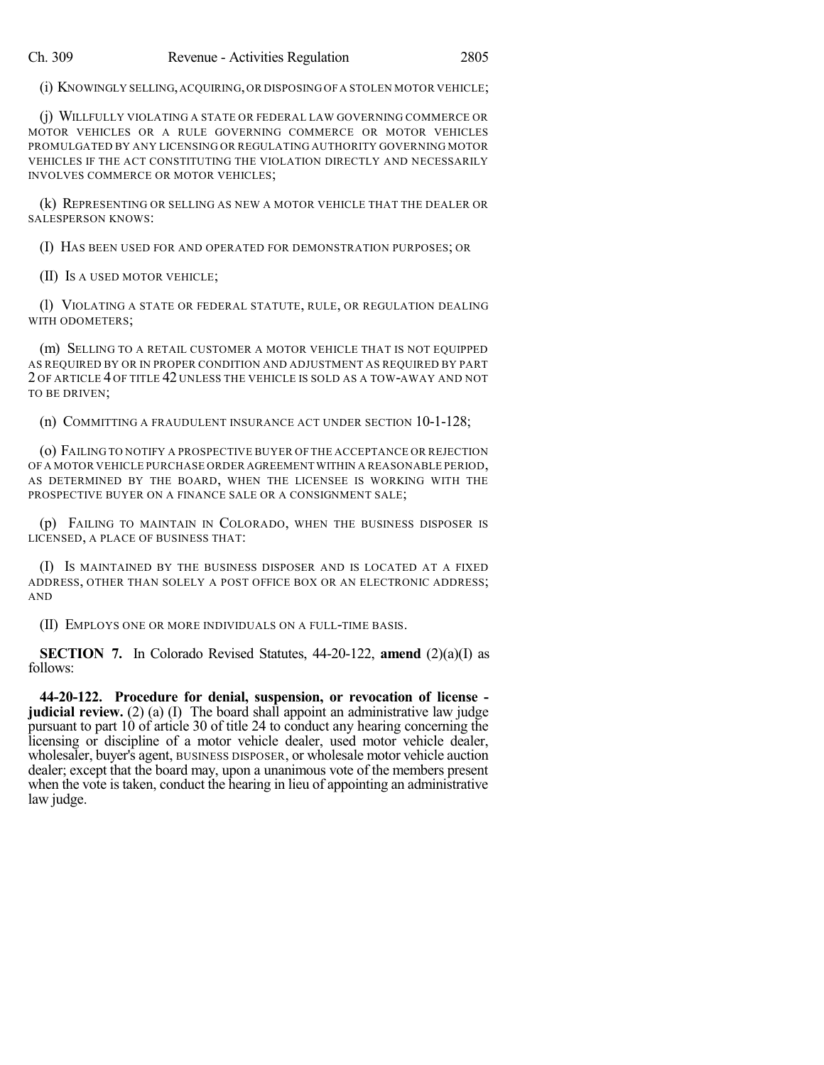(i) KNOWINGLY SELLING,ACQUIRING,OR DISPOSING OF A STOLEN MOTOR VEHICLE;

(j) WILLFULLY VIOLATING A STATE OR FEDERAL LAW GOVERNING COMMERCE OR MOTOR VEHICLES OR A RULE GOVERNING COMMERCE OR MOTOR VEHICLES PROMULGATED BY ANY LICENSING OR REGULATING AUTHORITY GOVERNING MOTOR VEHICLES IF THE ACT CONSTITUTING THE VIOLATION DIRECTLY AND NECESSARILY INVOLVES COMMERCE OR MOTOR VEHICLES;

(k) REPRESENTING OR SELLING AS NEW A MOTOR VEHICLE THAT THE DEALER OR SALESPERSON KNOWS:

(I) HAS BEEN USED FOR AND OPERATED FOR DEMONSTRATION PURPOSES; OR

(II) IS A USED MOTOR VEHICLE;

(l) VIOLATING A STATE OR FEDERAL STATUTE, RULE, OR REGULATION DEALING WITH ODOMETERS;

(m) SELLING TO A RETAIL CUSTOMER A MOTOR VEHICLE THAT IS NOT EQUIPPED AS REQUIRED BY OR IN PROPER CONDITION AND ADJUSTMENT AS REQUIRED BY PART 2 OF ARTICLE 4 OF TITLE 42 UNLESS THE VEHICLE IS SOLD AS A TOW-AWAY AND NOT TO BE DRIVEN;

(n) COMMITTING A FRAUDULENT INSURANCE ACT UNDER SECTION 10-1-128;

(o) FAILING TO NOTIFY A PROSPECTIVE BUYER OF THE ACCEPTANCE OR REJECTION OF A MOTOR VEHICLE PURCHASE ORDER AGREEMENT WITHIN A REASONABLE PERIOD, AS DETERMINED BY THE BOARD, WHEN THE LICENSEE IS WORKING WITH THE PROSPECTIVE BUYER ON A FINANCE SALE OR A CONSIGNMENT SALE;

(p) FAILING TO MAINTAIN IN COLORADO, WHEN THE BUSINESS DISPOSER IS LICENSED, A PLACE OF BUSINESS THAT:

(I) IS MAINTAINED BY THE BUSINESS DISPOSER AND IS LOCATED AT A FIXED ADDRESS, OTHER THAN SOLELY A POST OFFICE BOX OR AN ELECTRONIC ADDRESS; AND

(II) EMPLOYS ONE OR MORE INDIVIDUALS ON A FULL-TIME BASIS.

**SECTION 7.** In Colorado Revised Statutes, 44-20-122, **amend** (2)(a)(I) as follows:

**44-20-122. Procedure for denial, suspension, or revocation of license judicial review.** (2) (a) (I) The board shall appoint an administrative law judge pursuant to part 10 of article 30 of title 24 to conduct any hearing concerning the licensing or discipline of a motor vehicle dealer, used motor vehicle dealer, wholesaler, buyer's agent, BUSINESS DISPOSER, or wholesale motor vehicle auction dealer; except that the board may, upon a unanimous vote of the members present when the vote is taken, conduct the hearing in lieu of appointing an administrative law judge.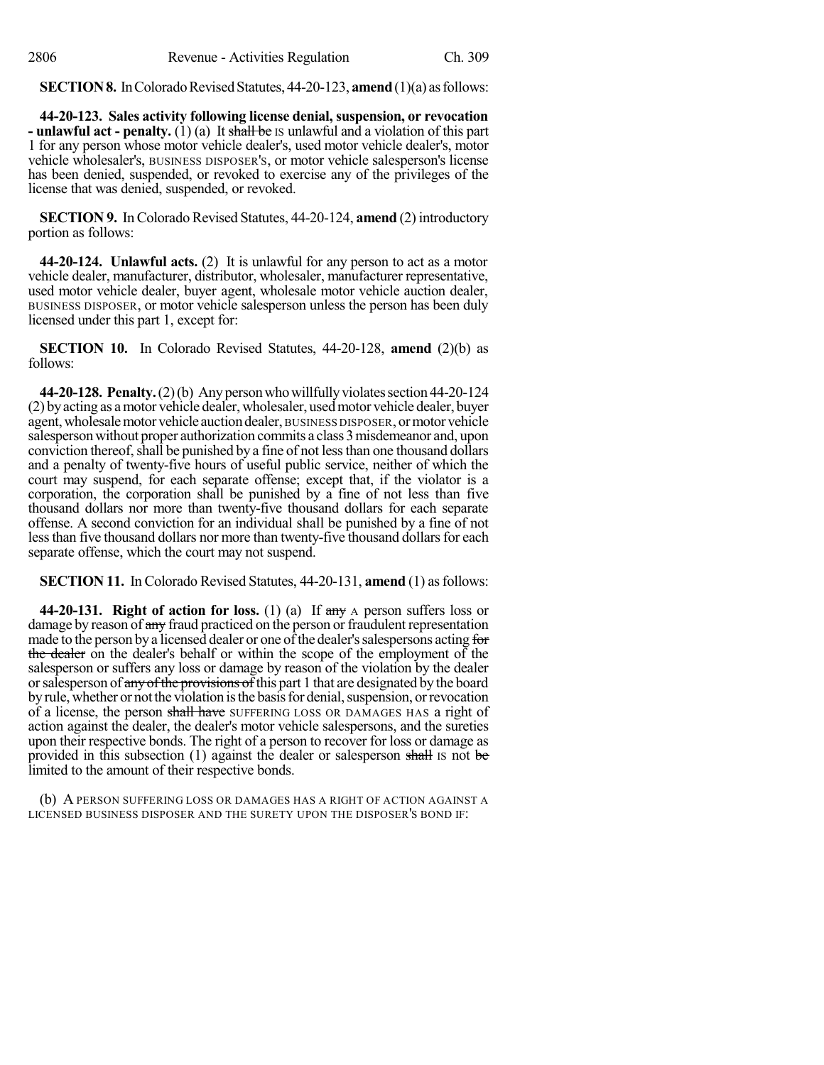**SECTION 8.** In Colorado Revised Statutes, 44-20-123, **amend** (1)(a) as follows:

**44-20-123. Sales activity following license denial, suspension, or revocation - unlawful act - penalty.** (1) (a) It shall be IS unlawful and a violation of this part 1 for any person whose motor vehicle dealer's, used motor vehicle dealer's, motor vehicle wholesaler's, BUSINESS DISPOSER'S, or motor vehicle salesperson's license has been denied, suspended, or revoked to exercise any of the privileges of the license that was denied, suspended, or revoked.

**SECTION 9.** In Colorado Revised Statutes, 44-20-124, **amend** (2) introductory portion as follows:

**44-20-124. Unlawful acts.** (2) It is unlawful for any person to act as a motor vehicle dealer, manufacturer, distributor, wholesaler, manufacturer representative, used motor vehicle dealer, buyer agent, wholesale motor vehicle auction dealer, BUSINESS DISPOSER, or motor vehicle salesperson unless the person has been duly licensed under this part 1, except for:

**SECTION 10.** In Colorado Revised Statutes, 44-20-128, **amend** (2)(b) as follows:

**44-20-128. Penalty.**(2)(b) Anypersonwhowillfullyviolatessection 44-20-124 (2) byacting as amotor vehicle dealer, wholesaler, usedmotor vehicle dealer, buyer agent, wholesale motor vehicle auction dealer, BUSINESS DISPOSER, or motor vehicle salesperson without proper authorization commits a class 3misdemeanor and, upon conviction thereof, shall be punished by a fine of not less than one thousand dollars and a penalty of twenty-five hours of useful public service, neither of which the court may suspend, for each separate offense; except that, if the violator is a corporation, the corporation shall be punished by a fine of not less than five thousand dollars nor more than twenty-five thousand dollars for each separate offense. A second conviction for an individual shall be punished by a fine of not less than five thousand dollars nor more than twenty-five thousand dollars for each separate offense, which the court may not suspend.

**SECTION 11.** In Colorado Revised Statutes, 44-20-131, **amend** (1) asfollows:

**44-20-131. Right of action for loss.** (1) (a) If any A person suffers loss or damage by reason of any fraud practiced on the person or fraudulent representation made to the person by a licensed dealer or one of the dealer's salespersons acting for the dealer on the dealer's behalf or within the scope of the employment of the salesperson or suffers any loss or damage by reason of the violation by the dealer or salesperson of any of the provisions of this part 1 that are designated by the board by rule, whether or not the violation is the basis for denial, suspension, or revocation of a license, the person shall have SUFFERING LOSS OR DAMAGES HAS a right of action against the dealer, the dealer's motor vehicle salespersons, and the sureties upon their respective bonds. The right of a person to recover for loss or damage as provided in this subsection  $(1)$  against the dealer or salesperson shall is not be limited to the amount of their respective bonds.

(b) A PERSON SUFFERING LOSS OR DAMAGES HAS A RIGHT OF ACTION AGAINST A LICENSED BUSINESS DISPOSER AND THE SURETY UPON THE DISPOSER'S BOND IF: